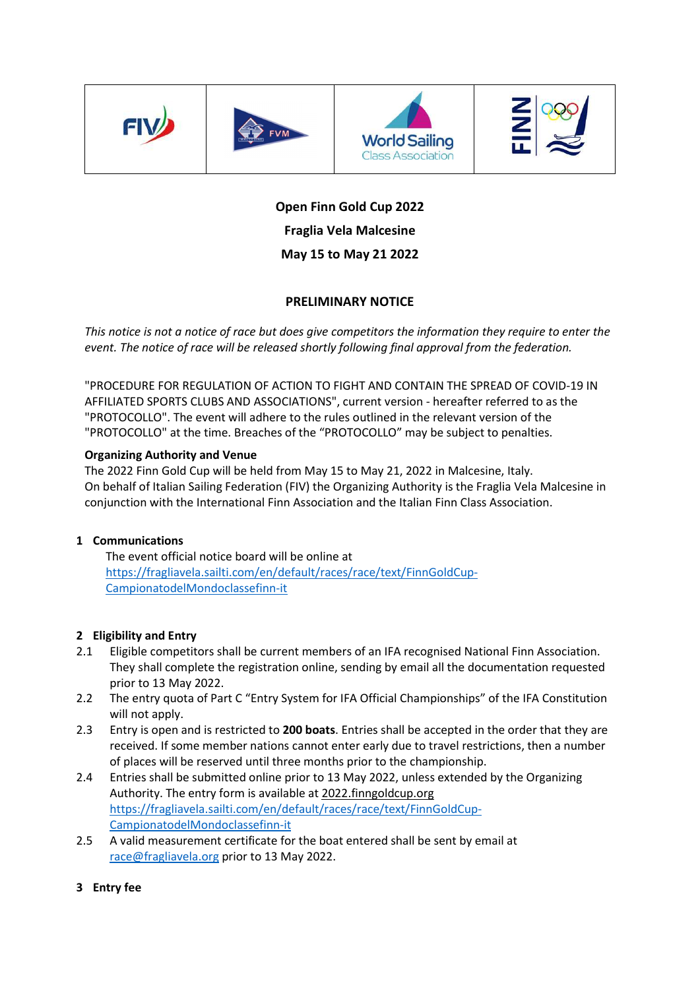







# Open Finn Gold Cup 2022 Fraglia Vela Malcesine May 15 to May 21 2022

# PRELIMINARY NOTICE

This notice is not a notice of race but does give competitors the information they require to enter the event. The notice of race will be released shortly following final approval from the federation.

"PROCEDURE FOR REGULATION OF ACTION TO FIGHT AND CONTAIN THE SPREAD OF COVID-19 IN AFFILIATED SPORTS CLUBS AND ASSOCIATIONS", current version - hereafter referred to as the "PROTOCOLLO". The event will adhere to the rules outlined in the relevant version of the "PROTOCOLLO" at the time. Breaches of the "PROTOCOLLO" may be subject to penalties.

## Organizing Authority and Venue

The 2022 Finn Gold Cup will be held from May 15 to May 21, 2022 in Malcesine, Italy. On behalf of Italian Sailing Federation (FIV) the Organizing Authority is the Fraglia Vela Malcesine in conjunction with the International Finn Association and the Italian Finn Class Association.

#### 1 Communications

The event official notice board will be online at https://fragliavela.sailti.com/en/default/races/race/text/FinnGoldCup-CampionatodelMondoclassefinn-it

# 2 Eligibility and Entry

- 2.1 Eligible competitors shall be current members of an IFA recognised National Finn Association. They shall complete the registration online, sending by email all the documentation requested prior to 13 May 2022.
- 2.2 The entry quota of Part C "Entry System for IFA Official Championships" of the IFA Constitution will not apply.
- 2.3 Entry is open and is restricted to 200 boats. Entries shall be accepted in the order that they are received. If some member nations cannot enter early due to travel restrictions, then a number of places will be reserved until three months prior to the championship.
- 2.4 Entries shall be submitted online prior to 13 May 2022, unless extended by the Organizing Authority. The entry form is available at 2022.finngoldcup.org https://fragliavela.sailti.com/en/default/races/race/text/FinnGoldCup-CampionatodelMondoclassefinn-it
- 2.5 A valid measurement certificate for the boat entered shall be sent by email at race@fragliavela.org prior to 13 May 2022.
- 3 Entry fee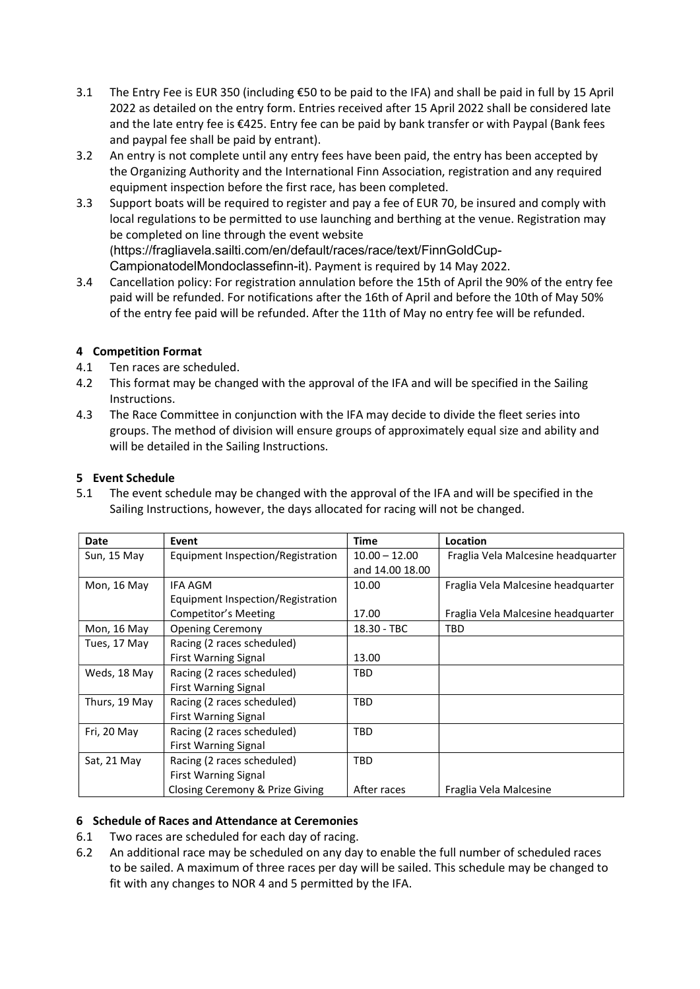- 3.1 The Entry Fee is EUR 350 (including €50 to be paid to the IFA) and shall be paid in full by 15 April 2022 as detailed on the entry form. Entries received after 15 April 2022 shall be considered late and the late entry fee is €425. Entry fee can be paid by bank transfer or with Paypal (Bank fees and paypal fee shall be paid by entrant).
- 3.2 An entry is not complete until any entry fees have been paid, the entry has been accepted by the Organizing Authority and the International Finn Association, registration and any required equipment inspection before the first race, has been completed.
- 3.3 Support boats will be required to register and pay a fee of EUR 70, be insured and comply with local regulations to be permitted to use launching and berthing at the venue. Registration may be completed on line through the event website (https://fragliavela.sailti.com/en/default/races/race/text/FinnGoldCup-CampionatodelMondoclassefinn-it). Payment is required by 14 May 2022.
- 3.4 Cancellation policy: For registration annulation before the 15th of April the 90% of the entry fee paid will be refunded. For notifications after the 16th of April and before the 10th of May 50% of the entry fee paid will be refunded. After the 11th of May no entry fee will be refunded.

## 4 Competition Format

- 4.1 Ten races are scheduled.
- 4.2 This format may be changed with the approval of the IFA and will be specified in the Sailing Instructions.
- 4.3 The Race Committee in conjunction with the IFA may decide to divide the fleet series into groups. The method of division will ensure groups of approximately equal size and ability and will be detailed in the Sailing Instructions.

#### 5 Event Schedule

5.1 The event schedule may be changed with the approval of the IFA and will be specified in the Sailing Instructions, however, the days allocated for racing will not be changed.

| Date          | Event                             | <b>Time</b>     | Location                           |
|---------------|-----------------------------------|-----------------|------------------------------------|
| Sun, 15 May   | Equipment Inspection/Registration | $10.00 - 12.00$ | Fraglia Vela Malcesine headquarter |
|               |                                   | and 14.00 18.00 |                                    |
| Mon, 16 May   | IFA AGM                           | 10.00           | Fraglia Vela Malcesine headquarter |
|               | Equipment Inspection/Registration |                 |                                    |
|               | Competitor's Meeting              | 17.00           | Fraglia Vela Malcesine headquarter |
| Mon, 16 May   | <b>Opening Ceremony</b>           | 18.30 - TBC     | TBD                                |
| Tues, 17 May  | Racing (2 races scheduled)        |                 |                                    |
|               | <b>First Warning Signal</b>       | 13.00           |                                    |
| Weds, 18 May  | Racing (2 races scheduled)        | <b>TBD</b>      |                                    |
|               | <b>First Warning Signal</b>       |                 |                                    |
| Thurs, 19 May | Racing (2 races scheduled)        | <b>TBD</b>      |                                    |
|               | <b>First Warning Signal</b>       |                 |                                    |
| Fri, 20 May   | Racing (2 races scheduled)        | <b>TBD</b>      |                                    |
|               | <b>First Warning Signal</b>       |                 |                                    |
| Sat, 21 May   | Racing (2 races scheduled)        | <b>TBD</b>      |                                    |
|               | <b>First Warning Signal</b>       |                 |                                    |
|               | Closing Ceremony & Prize Giving   | After races     | Fraglia Vela Malcesine             |

#### 6 Schedule of Races and Attendance at Ceremonies

- 6.1 Two races are scheduled for each day of racing.
- 6.2 An additional race may be scheduled on any day to enable the full number of scheduled races to be sailed. A maximum of three races per day will be sailed. This schedule may be changed to fit with any changes to NOR 4 and 5 permitted by the IFA.